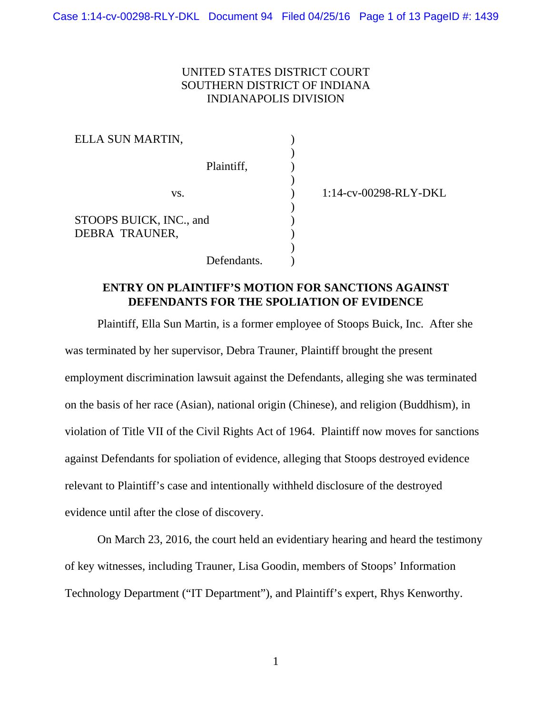## UNITED STATES DISTRICT COURT SOUTHERN DISTRICT OF INDIANA INDIANAPOLIS DIVISION

) ) ) ) ) ) ) ) ) )

| ELLA SUN MARTIN,                          |             |
|-------------------------------------------|-------------|
|                                           | Plaintiff,  |
| VS.                                       |             |
| STOOPS BUICK, INC., and<br>DEBRA TRAUNER, |             |
|                                           | Defendants. |

1:14-cv-00298-RLY-DKL

# **ENTRY ON PLAINTIFF'S MOTION FOR SANCTIONS AGAINST DEFENDANTS FOR THE SPOLIATION OF EVIDENCE**

 Plaintiff, Ella Sun Martin, is a former employee of Stoops Buick, Inc. After she was terminated by her supervisor, Debra Trauner, Plaintiff brought the present employment discrimination lawsuit against the Defendants, alleging she was terminated on the basis of her race (Asian), national origin (Chinese), and religion (Buddhism), in violation of Title VII of the Civil Rights Act of 1964. Plaintiff now moves for sanctions against Defendants for spoliation of evidence, alleging that Stoops destroyed evidence relevant to Plaintiff's case and intentionally withheld disclosure of the destroyed evidence until after the close of discovery.

 On March 23, 2016, the court held an evidentiary hearing and heard the testimony of key witnesses, including Trauner, Lisa Goodin, members of Stoops' Information Technology Department ("IT Department"), and Plaintiff's expert, Rhys Kenworthy.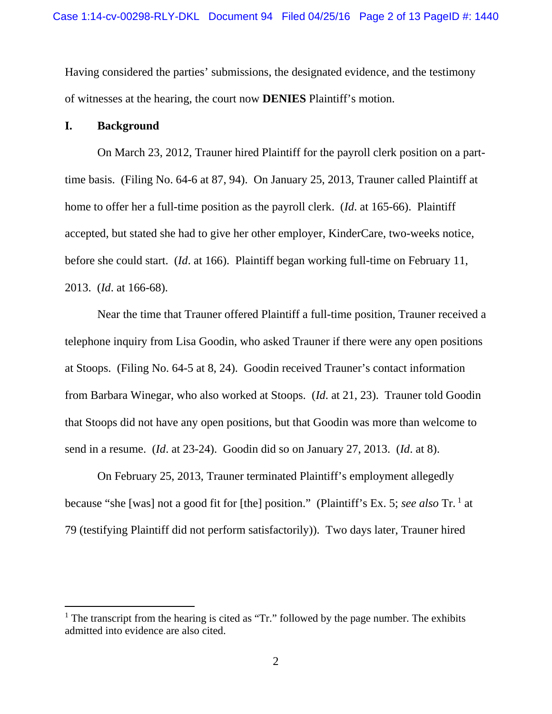Having considered the parties' submissions, the designated evidence, and the testimony of witnesses at the hearing, the court now **DENIES** Plaintiff's motion.

### **I. Background**

 $\overline{a}$ 

On March 23, 2012, Trauner hired Plaintiff for the payroll clerk position on a parttime basis. (Filing No. 64-6 at 87, 94). On January 25, 2013, Trauner called Plaintiff at home to offer her a full-time position as the payroll clerk. (*Id*. at 165-66). Plaintiff accepted, but stated she had to give her other employer, KinderCare, two-weeks notice, before she could start. (*Id*. at 166). Plaintiff began working full-time on February 11, 2013. (*Id*. at 166-68).

 Near the time that Trauner offered Plaintiff a full-time position, Trauner received a telephone inquiry from Lisa Goodin, who asked Trauner if there were any open positions at Stoops. (Filing No. 64-5 at 8, 24). Goodin received Trauner's contact information from Barbara Winegar, who also worked at Stoops. (*Id*. at 21, 23). Trauner told Goodin that Stoops did not have any open positions, but that Goodin was more than welcome to send in a resume. (*Id*. at 23-24). Goodin did so on January 27, 2013. (*Id*. at 8).

 On February 25, 2013, Trauner terminated Plaintiff's employment allegedly because "she [was] not a good fit for [the] position." (Plaintiff's Ex. 5; *see also* Tr. 1 at 79 (testifying Plaintiff did not perform satisfactorily)). Two days later, Trauner hired

<sup>&</sup>lt;sup>1</sup> The transcript from the hearing is cited as "Tr." followed by the page number. The exhibits admitted into evidence are also cited.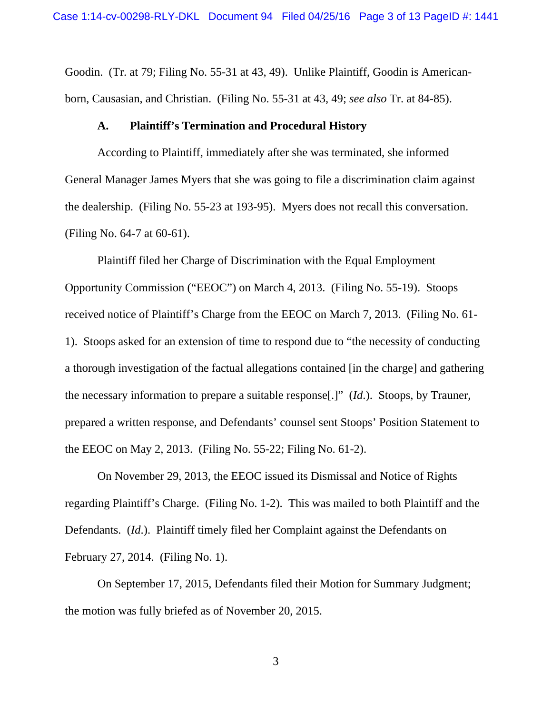Goodin. (Tr. at 79; Filing No. 55-31 at 43, 49). Unlike Plaintiff, Goodin is Americanborn, Causasian, and Christian. (Filing No. 55-31 at 43, 49; *see also* Tr. at 84-85).

### **A. Plaintiff's Termination and Procedural History**

 According to Plaintiff, immediately after she was terminated, she informed General Manager James Myers that she was going to file a discrimination claim against the dealership. (Filing No. 55-23 at 193-95). Myers does not recall this conversation. (Filing No. 64-7 at 60-61).

 Plaintiff filed her Charge of Discrimination with the Equal Employment Opportunity Commission ("EEOC") on March 4, 2013. (Filing No. 55-19). Stoops received notice of Plaintiff's Charge from the EEOC on March 7, 2013. (Filing No. 61- 1). Stoops asked for an extension of time to respond due to "the necessity of conducting a thorough investigation of the factual allegations contained [in the charge] and gathering the necessary information to prepare a suitable response[.]" (*Id*.). Stoops, by Trauner, prepared a written response, and Defendants' counsel sent Stoops' Position Statement to the EEOC on May 2, 2013. (Filing No. 55-22; Filing No. 61-2).

 On November 29, 2013, the EEOC issued its Dismissal and Notice of Rights regarding Plaintiff's Charge. (Filing No. 1-2). This was mailed to both Plaintiff and the Defendants. (*Id*.). Plaintiff timely filed her Complaint against the Defendants on February 27, 2014. (Filing No. 1).

 On September 17, 2015, Defendants filed their Motion for Summary Judgment; the motion was fully briefed as of November 20, 2015.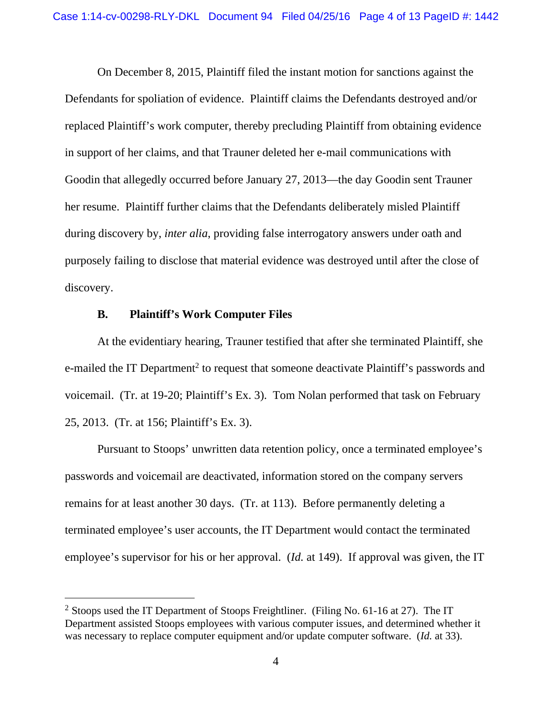On December 8, 2015, Plaintiff filed the instant motion for sanctions against the Defendants for spoliation of evidence. Plaintiff claims the Defendants destroyed and/or replaced Plaintiff's work computer, thereby precluding Plaintiff from obtaining evidence in support of her claims, and that Trauner deleted her e-mail communications with Goodin that allegedly occurred before January 27, 2013—the day Goodin sent Trauner her resume. Plaintiff further claims that the Defendants deliberately misled Plaintiff during discovery by, *inter alia*, providing false interrogatory answers under oath and purposely failing to disclose that material evidence was destroyed until after the close of discovery.

### **B. Plaintiff's Work Computer Files**

 $\overline{a}$ 

 At the evidentiary hearing, Trauner testified that after she terminated Plaintiff, she e-mailed the IT Department<sup>2</sup> to request that someone deactivate Plaintiff's passwords and voicemail. (Tr. at 19-20; Plaintiff's Ex. 3). Tom Nolan performed that task on February 25, 2013. (Tr. at 156; Plaintiff's Ex. 3).

 Pursuant to Stoops' unwritten data retention policy, once a terminated employee's passwords and voicemail are deactivated, information stored on the company servers remains for at least another 30 days. (Tr. at 113). Before permanently deleting a terminated employee's user accounts, the IT Department would contact the terminated employee's supervisor for his or her approval. (*Id.* at 149). If approval was given, the IT

<sup>&</sup>lt;sup>2</sup> Stoops used the IT Department of Stoops Freightliner. (Filing No. 61-16 at 27). The IT Department assisted Stoops employees with various computer issues, and determined whether it was necessary to replace computer equipment and/or update computer software. (*Id.* at 33).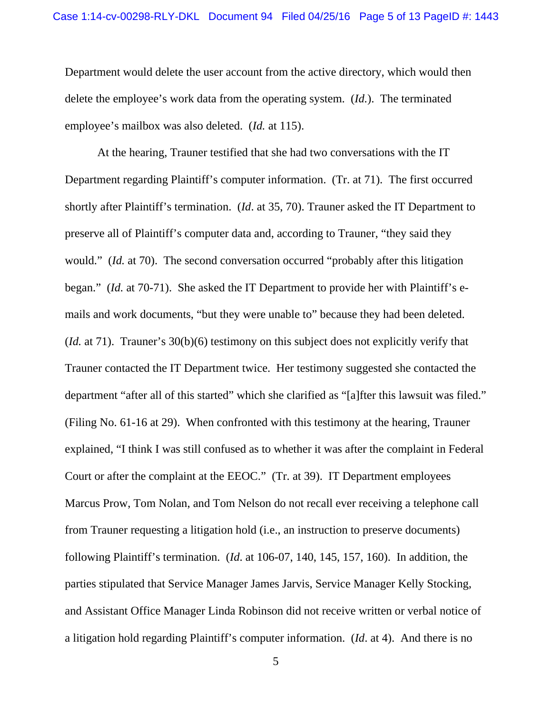Department would delete the user account from the active directory, which would then delete the employee's work data from the operating system. (*Id.*). The terminated employee's mailbox was also deleted. (*Id.* at 115).

 At the hearing, Trauner testified that she had two conversations with the IT Department regarding Plaintiff's computer information. (Tr. at 71). The first occurred shortly after Plaintiff's termination. (*Id*. at 35, 70). Trauner asked the IT Department to preserve all of Plaintiff's computer data and, according to Trauner, "they said they would." *(Id.* at 70). The second conversation occurred "probably after this litigation began." (*Id.* at 70-71). She asked the IT Department to provide her with Plaintiff's emails and work documents, "but they were unable to" because they had been deleted. (*Id.* at 71). Trauner's 30(b)(6) testimony on this subject does not explicitly verify that Trauner contacted the IT Department twice. Her testimony suggested she contacted the department "after all of this started" which she clarified as "[a]fter this lawsuit was filed." (Filing No. 61-16 at 29). When confronted with this testimony at the hearing, Trauner explained, "I think I was still confused as to whether it was after the complaint in Federal Court or after the complaint at the EEOC." (Tr. at 39). IT Department employees Marcus Prow, Tom Nolan, and Tom Nelson do not recall ever receiving a telephone call from Trauner requesting a litigation hold (i.e., an instruction to preserve documents) following Plaintiff's termination. (*Id*. at 106-07, 140, 145, 157, 160). In addition, the parties stipulated that Service Manager James Jarvis, Service Manager Kelly Stocking, and Assistant Office Manager Linda Robinson did not receive written or verbal notice of a litigation hold regarding Plaintiff's computer information. (*Id*. at 4). And there is no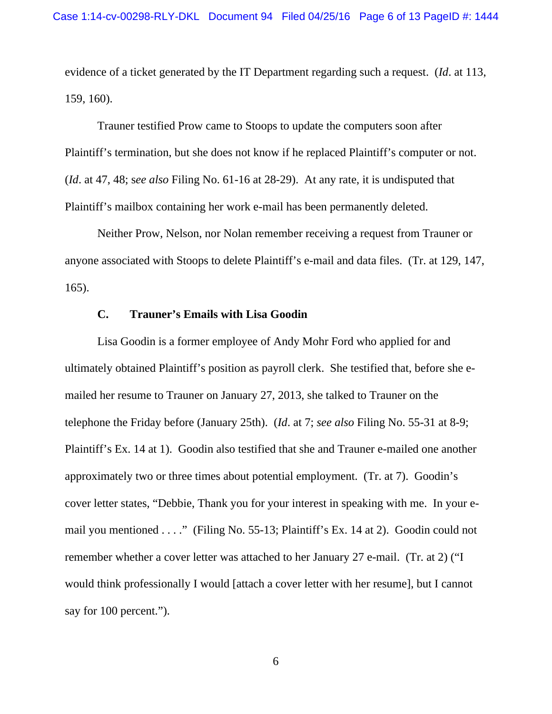evidence of a ticket generated by the IT Department regarding such a request. (*Id*. at 113, 159, 160).

 Trauner testified Prow came to Stoops to update the computers soon after Plaintiff's termination, but she does not know if he replaced Plaintiff's computer or not. (*Id*. at 47, 48; s*ee also* Filing No. 61-16 at 28-29). At any rate, it is undisputed that Plaintiff's mailbox containing her work e-mail has been permanently deleted.

 Neither Prow, Nelson, nor Nolan remember receiving a request from Trauner or anyone associated with Stoops to delete Plaintiff's e-mail and data files. (Tr. at 129, 147, 165).

### **C. Trauner's Emails with Lisa Goodin**

 Lisa Goodin is a former employee of Andy Mohr Ford who applied for and ultimately obtained Plaintiff's position as payroll clerk. She testified that, before she emailed her resume to Trauner on January 27, 2013, she talked to Trauner on the telephone the Friday before (January 25th). (*Id*. at 7; *see also* Filing No. 55-31 at 8-9; Plaintiff's Ex. 14 at 1). Goodin also testified that she and Trauner e-mailed one another approximately two or three times about potential employment. (Tr. at 7). Goodin's cover letter states, "Debbie, Thank you for your interest in speaking with me. In your email you mentioned . . . ." (Filing No. 55-13; Plaintiff's Ex. 14 at 2). Goodin could not remember whether a cover letter was attached to her January 27 e-mail. (Tr. at 2) ("I would think professionally I would [attach a cover letter with her resume], but I cannot say for 100 percent.").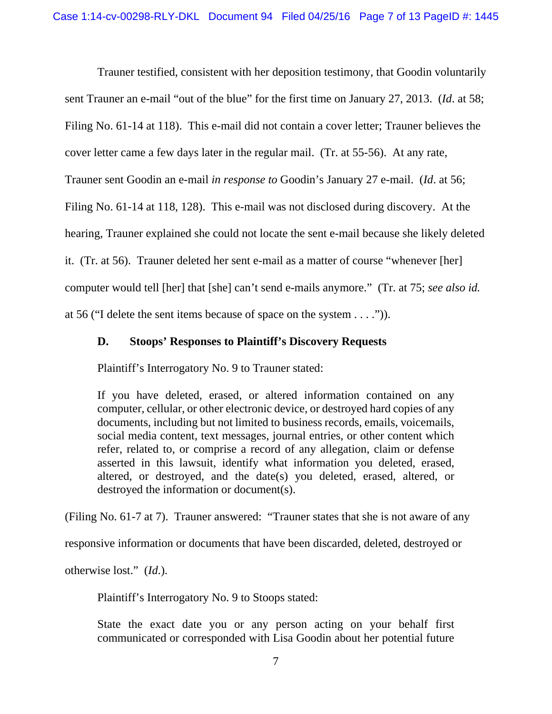Trauner testified, consistent with her deposition testimony, that Goodin voluntarily sent Trauner an e-mail "out of the blue" for the first time on January 27, 2013. (*Id*. at 58; Filing No. 61-14 at 118). This e-mail did not contain a cover letter; Trauner believes the cover letter came a few days later in the regular mail. (Tr. at 55-56). At any rate, Trauner sent Goodin an e-mail *in response to* Goodin's January 27 e-mail. (*Id*. at 56; Filing No. 61-14 at 118, 128). This e-mail was not disclosed during discovery. At the hearing, Trauner explained she could not locate the sent e-mail because she likely deleted it. (Tr. at 56). Trauner deleted her sent e-mail as a matter of course "whenever [her] computer would tell [her] that [she] can't send e-mails anymore." (Tr. at 75; *see also id.*  at 56 ("I delete the sent items because of space on the system . . . .")).

## **D. Stoops' Responses to Plaintiff's Discovery Requests**

Plaintiff's Interrogatory No. 9 to Trauner stated:

If you have deleted, erased, or altered information contained on any computer, cellular, or other electronic device, or destroyed hard copies of any documents, including but not limited to business records, emails, voicemails, social media content, text messages, journal entries, or other content which refer, related to, or comprise a record of any allegation, claim or defense asserted in this lawsuit, identify what information you deleted, erased, altered, or destroyed, and the date(s) you deleted, erased, altered, or destroyed the information or document(s).

(Filing No. 61-7 at 7). Trauner answered: "Trauner states that she is not aware of any

responsive information or documents that have been discarded, deleted, destroyed or

otherwise lost." (*Id*.).

Plaintiff's Interrogatory No. 9 to Stoops stated:

State the exact date you or any person acting on your behalf first communicated or corresponded with Lisa Goodin about her potential future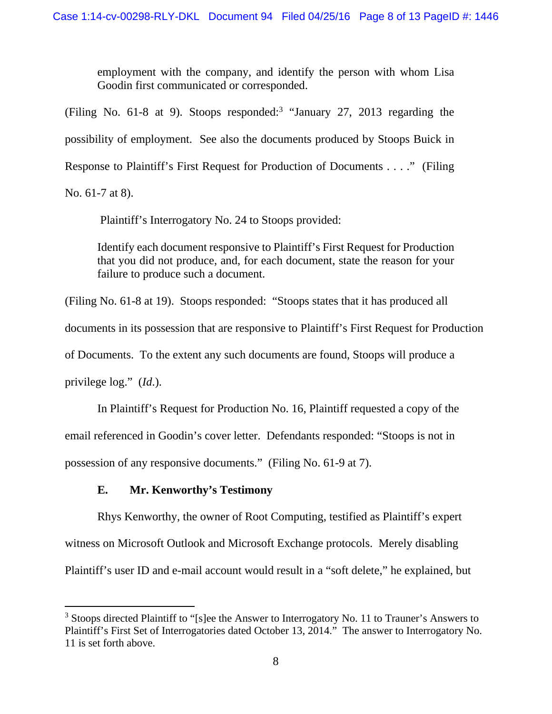employment with the company, and identify the person with whom Lisa Goodin first communicated or corresponded.

(Filing No.  $61-8$  at 9). Stoops responded:<sup>3</sup> "January 27, 2013 regarding the possibility of employment. See also the documents produced by Stoops Buick in Response to Plaintiff's First Request for Production of Documents . . . ." (Filing No. 61-7 at 8).

 $\overline{a}$ 

Plaintiff's Interrogatory No. 24 to Stoops provided:

Identify each document responsive to Plaintiff's First Request for Production that you did not produce, and, for each document, state the reason for your failure to produce such a document.

(Filing No. 61-8 at 19). Stoops responded: "Stoops states that it has produced all documents in its possession that are responsive to Plaintiff's First Request for Production of Documents. To the extent any such documents are found, Stoops will produce a privilege log." (*Id*.).

 In Plaintiff's Request for Production No. 16, Plaintiff requested a copy of the email referenced in Goodin's cover letter. Defendants responded: "Stoops is not in possession of any responsive documents." (Filing No. 61-9 at 7).

# **E. Mr. Kenworthy's Testimony**

 Rhys Kenworthy, the owner of Root Computing, testified as Plaintiff's expert witness on Microsoft Outlook and Microsoft Exchange protocols. Merely disabling Plaintiff's user ID and e-mail account would result in a "soft delete," he explained, but

<sup>&</sup>lt;sup>3</sup> Stoops directed Plaintiff to "[s]ee the Answer to Interrogatory No. 11 to Trauner's Answers to Plaintiff's First Set of Interrogatories dated October 13, 2014." The answer to Interrogatory No. 11 is set forth above.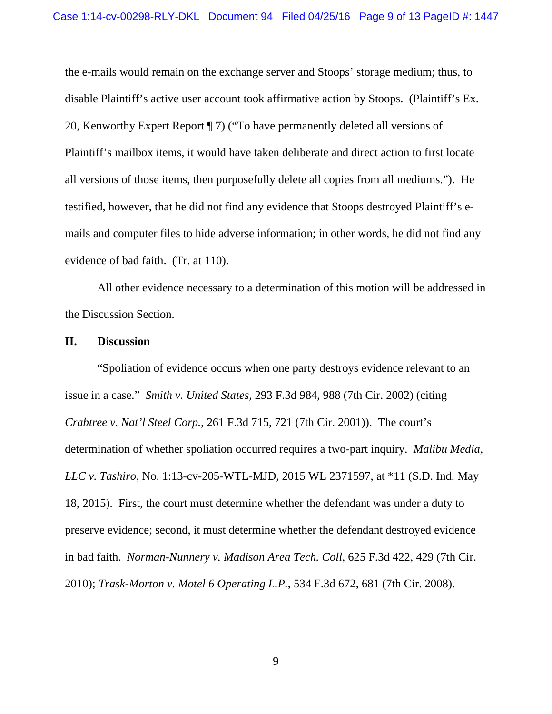the e-mails would remain on the exchange server and Stoops' storage medium; thus, to disable Plaintiff's active user account took affirmative action by Stoops. (Plaintiff's Ex. 20, Kenworthy Expert Report ¶ 7) ("To have permanently deleted all versions of Plaintiff's mailbox items, it would have taken deliberate and direct action to first locate all versions of those items, then purposefully delete all copies from all mediums."). He testified, however, that he did not find any evidence that Stoops destroyed Plaintiff's emails and computer files to hide adverse information; in other words, he did not find any evidence of bad faith. (Tr. at 110).

 All other evidence necessary to a determination of this motion will be addressed in the Discussion Section.

### **II. Discussion**

 "Spoliation of evidence occurs when one party destroys evidence relevant to an issue in a case." *Smith v. United States*, 293 F.3d 984, 988 (7th Cir. 2002) (citing *Crabtree v. Nat'l Steel Corp.*, 261 F.3d 715, 721 (7th Cir. 2001)). The court's determination of whether spoliation occurred requires a two-part inquiry. *Malibu Media, LLC v. Tashiro*, No. 1:13-cv-205-WTL-MJD, 2015 WL 2371597, at \*11 (S.D. Ind. May 18, 2015). First, the court must determine whether the defendant was under a duty to preserve evidence; second, it must determine whether the defendant destroyed evidence in bad faith. *Norman-Nunnery v. Madison Area Tech. Coll*, 625 F.3d 422, 429 (7th Cir. 2010); *Trask-Morton v. Motel 6 Operating L.P.*, 534 F.3d 672, 681 (7th Cir. 2008).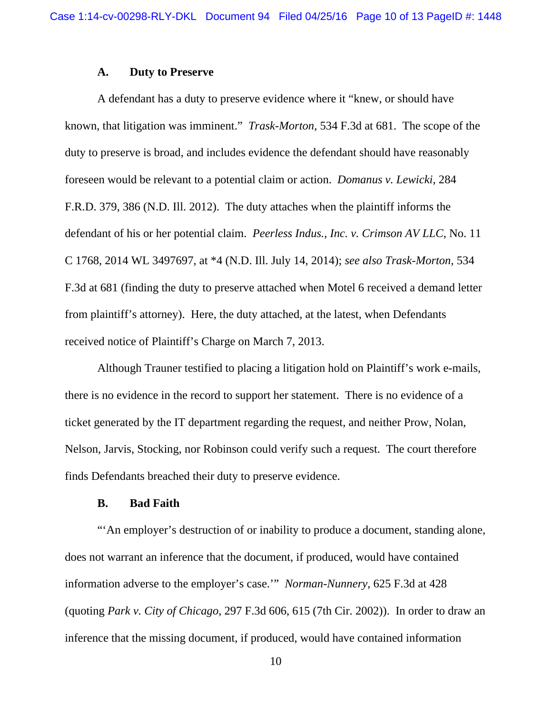#### **A. Duty to Preserve**

 A defendant has a duty to preserve evidence where it "knew, or should have known, that litigation was imminent." *Trask-Morton*, 534 F.3d at 681. The scope of the duty to preserve is broad, and includes evidence the defendant should have reasonably foreseen would be relevant to a potential claim or action. *Domanus v. Lewicki*, 284 F.R.D. 379, 386 (N.D. Ill. 2012). The duty attaches when the plaintiff informs the defendant of his or her potential claim. *Peerless Indus., Inc. v. Crimson AV LLC*, No. 11 C 1768, 2014 WL 3497697, at \*4 (N.D. Ill. July 14, 2014); *see also Trask-Morton*, 534 F.3d at 681 (finding the duty to preserve attached when Motel 6 received a demand letter from plaintiff's attorney). Here, the duty attached, at the latest, when Defendants received notice of Plaintiff's Charge on March 7, 2013.

 Although Trauner testified to placing a litigation hold on Plaintiff's work e-mails, there is no evidence in the record to support her statement. There is no evidence of a ticket generated by the IT department regarding the request, and neither Prow, Nolan, Nelson, Jarvis, Stocking, nor Robinson could verify such a request. The court therefore finds Defendants breached their duty to preserve evidence.

#### **B. Bad Faith**

 "'An employer's destruction of or inability to produce a document, standing alone, does not warrant an inference that the document, if produced, would have contained information adverse to the employer's case.'" *Norman-Nunnery*, 625 F.3d at 428 (quoting *Park v. City of Chicago*, 297 F.3d 606, 615 (7th Cir. 2002)). In order to draw an inference that the missing document, if produced, would have contained information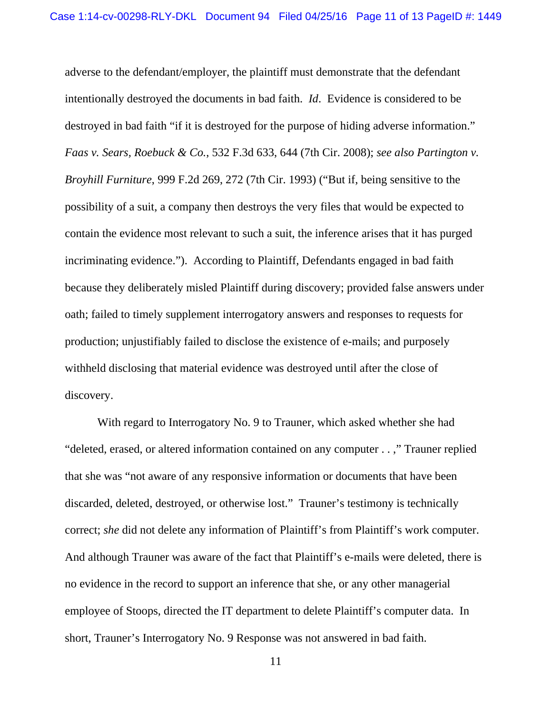adverse to the defendant/employer, the plaintiff must demonstrate that the defendant intentionally destroyed the documents in bad faith. *Id*. Evidence is considered to be destroyed in bad faith "if it is destroyed for the purpose of hiding adverse information." *Faas v. Sears, Roebuck & Co.*, 532 F.3d 633, 644 (7th Cir. 2008); *see also Partington v. Broyhill Furniture*, 999 F.2d 269, 272 (7th Cir. 1993) ("But if, being sensitive to the possibility of a suit, a company then destroys the very files that would be expected to contain the evidence most relevant to such a suit, the inference arises that it has purged incriminating evidence."). According to Plaintiff, Defendants engaged in bad faith because they deliberately misled Plaintiff during discovery; provided false answers under oath; failed to timely supplement interrogatory answers and responses to requests for production; unjustifiably failed to disclose the existence of e-mails; and purposely withheld disclosing that material evidence was destroyed until after the close of discovery.

 With regard to Interrogatory No. 9 to Trauner, which asked whether she had "deleted, erased, or altered information contained on any computer . . ," Trauner replied that she was "not aware of any responsive information or documents that have been discarded, deleted, destroyed, or otherwise lost." Trauner's testimony is technically correct; *she* did not delete any information of Plaintiff's from Plaintiff's work computer. And although Trauner was aware of the fact that Plaintiff's e-mails were deleted, there is no evidence in the record to support an inference that she, or any other managerial employee of Stoops, directed the IT department to delete Plaintiff's computer data. In short, Trauner's Interrogatory No. 9 Response was not answered in bad faith.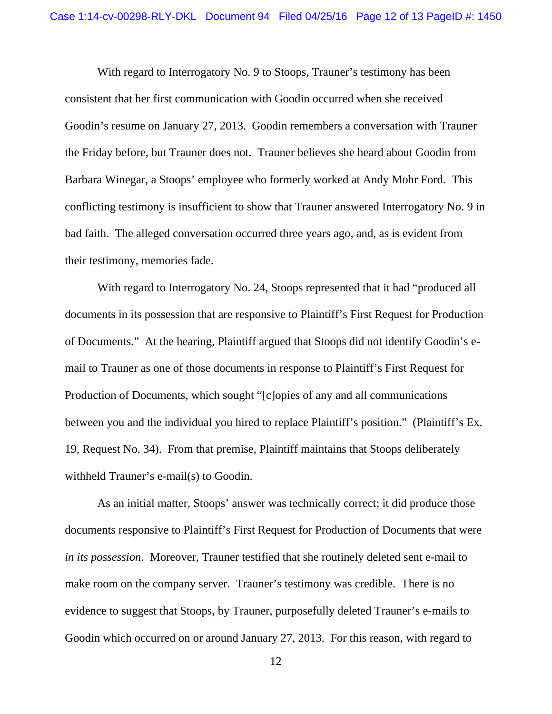With regard to Interrogatory No. 9 to Stoops, Trauner's testimony has been consistent that her first communication with Goodin occurred when she received Goodin's resume on January 27, 2013. Goodin remembers a conversation with Trauner the Friday before, but Trauner does not. Trauner believes she heard about Goodin from Barbara Winegar, a Stoops' employee who formerly worked at Andy Mohr Ford. This conflicting testimony is insufficient to show that Trauner answered Interrogatory No. 9 in bad faith. The alleged conversation occurred three years ago, and, as is evident from their testimony, memories fade.

 With regard to Interrogatory No. 24, Stoops represented that it had "produced all documents in its possession that are responsive to Plaintiff's First Request for Production of Documents." At the hearing, Plaintiff argued that Stoops did not identify Goodin's email to Trauner as one of those documents in response to Plaintiff's First Request for Production of Documents, which sought "[c]opies of any and all communications between you and the individual you hired to replace Plaintiff's position." (Plaintiff's Ex. 19, Request No. 34). From that premise, Plaintiff maintains that Stoops deliberately withheld Trauner's e-mail(s) to Goodin.

 As an initial matter, Stoops' answer was technically correct; it did produce those documents responsive to Plaintiff's First Request for Production of Documents that were *in its possession*. Moreover, Trauner testified that she routinely deleted sent e-mail to make room on the company server. Trauner's testimony was credible. There is no evidence to suggest that Stoops, by Trauner, purposefully deleted Trauner's e-mails to Goodin which occurred on or around January 27, 2013. For this reason, with regard to